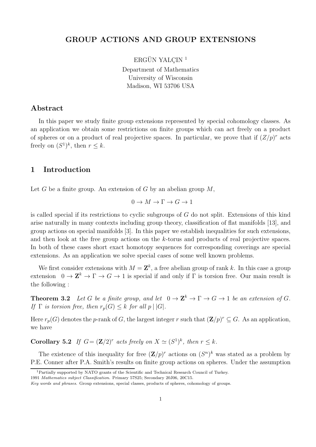# GROUP ACTIONS AND GROUP EXTENSIONS

ERGÜN YALÇIN $^1$ 

Department of Mathematics University of Wisconsin Madison, WI 53706 USA

# Abstract

In this paper we study finite group extensions represented by special cohomology classes. As an application we obtain some restrictions on finite groups which can act freely on a product of spheres or on a product of real projective spaces. In particular, we prove that if  $(Z/p)^r$  acts freely on  $(S^1)^k$ , then  $r \leq k$ .

## 1 Introduction

Let G be a finite group. An extension of G by an abelian group  $M$ ,

$$
0 \to M \to \Gamma \to G \to 1
$$

is called special if its restrictions to cyclic subgroups of  $G$  do not split. Extensions of this kind arise naturally in many contexts including group theory, classification of flat manifolds [13], and group actions on special manifolds [3]. In this paper we establish inequalities for such extensions, and then look at the free group actions on the k-torus and products of real projective spaces. In both of these cases short exact homotopy sequences for corresponding coverings are special extensions. As an application we solve special cases of some well known problems.

We first consider extensions with  $M = \mathbf{Z}^k$ , a free abelian group of rank k. In this case a group extension  $0 \to \mathbb{Z}^k \to \Gamma \to G \to 1$  is special if and only if  $\Gamma$  is torsion free. Our main result is the following :

**Theorem 3.2** Let G be a finite group, and let  $0 \to \mathbb{Z}^k \to \Gamma \to G \to 1$  be an extension of G. If  $\Gamma$  is torsion free, then  $r_p(G) \leq k$  for all  $p \mid |G|$ .

Here  $r_p(G)$  denotes the p-rank of G, the largest integer r such that  $(\mathbf{Z}/p)^r \subseteq G$ . As an application, we have

**Corollary 5.2** If  $G = (\mathbf{Z}/2)^r$  acts freely on  $X \simeq (S^1)^k$ , then  $r \leq k$ .

The existence of this inequality for free  $(\mathbf{Z}/p)^r$  actions on  $(S^n)^k$  was stated as a problem by P.E. Conner after P.A. Smith's results on finite group actions on spheres. Under the assumption

<sup>1</sup>Partially supported by NATO grants of the Scientific and Technical Research Council of Turkey.

<sup>1991</sup> Mathematics subject Classification. Primary 57S25; Secondary 20J06, 20C15.

Key words and phrases. Group extensions, special classes, products of spheres, cohomology of groups.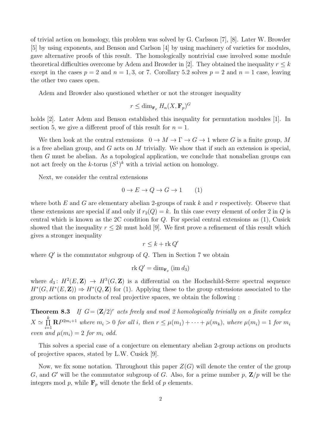of trivial action on homology, this problem was solved by G. Carlsson [7], [8]. Later W. Browder [5] by using exponents, and Benson and Carlson [4] by using machinery of varieties for modules, gave alternative proofs of this result. The homologically nontrivial case involved some module theoretical difficulties overcome by Adem and Browder in [2]. They obtained the inequality  $r \leq k$ except in the cases  $p = 2$  and  $n = 1, 3$ , or 7. Corollary 5.2 solves  $p = 2$  and  $n = 1$  case, leaving the other two cases open.

Adem and Browder also questioned whether or not the stronger inequality

$$
r \leq \dim_{\mathbf{F}_p} H_n(X, \mathbf{F}_p)^G
$$

holds [2]. Later Adem and Benson established this inequality for permutation modules [1]. In section 5, we give a different proof of this result for  $n = 1$ .

We then look at the central extensions  $0 \to M \to \Gamma \to G \to 1$  where G is a finite group, M is a free abelian group, and  $G$  acts on  $M$  trivially. We show that if such an extension is special, then G must be abelian. As a topological application, we conclude that nonabelian groups can not act freely on the k-torus  $(S^1)^k$  with a trivial action on homology.

Next, we consider the central extensions

$$
0 \to E \to Q \to G \to 1 \tag{1}
$$

where both  $E$  and  $G$  are elementary abelian 2-groups of rank  $k$  and  $r$  respectively. Observe that these extensions are special if and only if  $r_2(Q) = k$ . In this case every element of order 2 in Q is central which is known as the 2C condition for Q. For special central extensions as (1), Cusick showed that the inequality  $r \leq 2k$  must hold [9]. We first prove a refinement of this result which gives a stronger inequality

$$
r \leq k + \mathrm{rk}\, Q'
$$

where  $Q'$  is the commutator subgroup of  $Q$ . Then in Section 7 we obtain

$$
rk Q' = \dim_{\mathbf{F}_p} (\text{im } d_3)
$$

where  $d_3: H^2(E, \mathbb{Z}) \to H^3(G, \mathbb{Z})$  is a differential on the Hochschild-Serre spectral sequence  $H^*(G, H^*(E, \mathbf{Z})) \Rightarrow H^*(Q, \mathbf{Z})$  for (1). Applying these to the group extensions associated to the group actions on products of real projective spaces, we obtain the following :

**Theorem 8.3** If  $G = (\mathbf{Z}/2)^r$  acts freely and mod 2 homologically trivially on a finite complex  $X \simeq \prod^k$  $\prod_{i=1}^{n} \mathbf{R} P^{2m_i+1}$  where  $m_i > 0$  for all i, then  $r \leq \mu(m_1) + \cdots + \mu(m_k)$ , where  $\mu(m_i) = 1$  for  $m_i$ even and  $\mu(m_i) = 2$  for  $m_i$  odd.

This solves a special case of a conjecture on elementary abelian 2-group actions on products of projective spaces, stated by L.W. Cusick [9].

Now, we fix some notation. Throughout this paper  $Z(G)$  will denote the center of the group G, and G' will be the commutator subgroup of G. Also, for a prime number p,  $\mathbb{Z}/p$  will be the integers mod p, while  $\mathbf{F}_p$  will denote the field of p elements.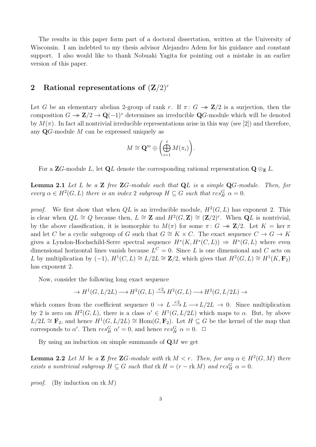The results in this paper form part of a doctoral dissertation, written at the University of Wisconsin. I am indebted to my thesis advisor Alejandro Adem for his guidance and constant support. I also would like to thank Nobuaki Yagita for pointing out a mistake in an earlier version of this paper.

#### 2 Rational representations of  $(\mathbf{Z}/2)^r$

Let G be an elementary abelian 2-group of rank r. If  $\pi: G \to \mathbb{Z}/2$  is a surjection, then the composition  $G \to \mathbf{Z}/2 \to \mathbf{Q}(-1)^*$  determines an irreducible  $\mathbf{Q}G$ -module which will be denoted by  $M(\pi)$ . In fact all nontrivial irreducible representations arise in this way (see [2]) and therefore, any  $\mathbf{Q}$ -module M can be expressed uniquely as

$$
M \cong \mathbf{Q}^m \oplus \left(\bigoplus_{i=1}^t M(\pi_i)\right).
$$

For a ZG-module L, let QL denote the corresponding rational representation  $\mathbf{Q} \otimes_{\mathbf{Z}} L$ .

**Lemma 2.1** Let L be a **Z** free  $\mathbb{Z}G$ -module such that  $QL$  is a simple  $QG$ -module. Then, for every  $\alpha \in H^2(G, L)$  there is an index 2 subgroup  $H \subseteq G$  such that  $res_H^G \alpha = 0$ .

proof. We first show that when  $QL$  is an irreducible module,  $H^2(G, L)$  has exponent 2. This is clear when  $QL \cong Q$  because then,  $L \cong \mathbb{Z}$  and  $H^2(G, \mathbb{Z}) \cong (\mathbb{Z}/2)^r$ . When  $\mathbb{Q}L$  is nontrivial, by the above classification, it is isomorphic to  $M(\pi)$  for some  $\pi: G \to \mathbb{Z}/2$ . Let  $K = \ker \pi$ and let C be a cyclic subgroup of G such that  $G \cong K \times C$ . The exact sequence  $C \to G \to K$ gives a Lyndon-Hochschild-Serre spectral sequence  $H^*(K, H^*(C, L)) \Rightarrow H^*(G, L)$  where even dimensional horizontal lines vanish because  $L^C = 0$ . Since L is one dimensional and C acts on L by multiplication by  $(-1)$ ,  $H^1(C, L) \cong L/2L \cong \mathbb{Z}/2$ , which gives that  $H^2(G, L) \cong H^1(K, \mathbf{F}_2)$ has exponent 2.

Now, consider the following long exact sequence

$$
\rightarrow H^1(G, L/2L) \longrightarrow H^2(G, L) \xrightarrow{\times 2} H^2(G, L) \longrightarrow H^2(G, L/2L) \rightarrow
$$

which comes from the coefficient sequence  $0 \to L \stackrel{\times 2}{\longrightarrow} L \longrightarrow L/2L \to 0$ . Since multiplication by 2 is zero on  $H^2(G, L)$ , there is a class  $\alpha' \in H^1(G, L/2L)$  which maps to  $\alpha$ . But, by above  $L/2L \cong \mathbf{F}_2$ , and hence  $H^1(G, L/2L) \cong \text{Hom}(G, \mathbf{F}_2)$ . Let  $H \subseteq G$  be the kernel of the map that corresponds to  $\alpha'$ . Then  $res_H^G \alpha' = 0$ , and hence  $res_H^G \alpha = 0$ .  $\Box$ 

By using an induction on simple summands of  $\mathbf{Q}M$  we get

**Lemma 2.2** Let M be a **Z** free **Z**G-module with  $\text{rk } M < r$ . Then, for any  $\alpha \in H^2(G, M)$  there exists a nontrivial subgroup  $H \subseteq G$  such that  $\text{rk } H = (r - \text{rk } M)$  and  $res_H^G \alpha = 0$ .

proof. (By induction on rk  $M$ )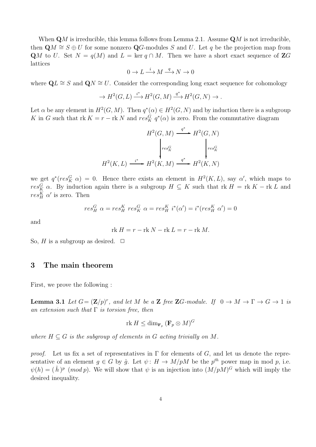When  $\mathbf{Q}M$  is irreducible, this lemma follows from Lemma 2.1. Assume  $\mathbf{Q}M$  is not irreducible, then  $\mathbf{Q}M \cong S \oplus U$  for some nonzero  $\mathbf{Q}G$ -modules S and U. Let q be the projection map from QM to U. Set  $N = q(M)$  and  $L = \text{ker } q \cap M$ . Then we have a short exact sequence of ZG lattices

$$
0\to L\stackrel{i}{\longrightarrow} M\stackrel{q}{\longrightarrow} N\to 0
$$

where  $\mathbf{Q}L \cong S$  and  $\mathbf{Q}N \cong U$ . Consider the corresponding long exact sequence for cohomology

$$
\to H^2(G, L) \xrightarrow{i^*} H^2(G, M) \xrightarrow{q^*} H^2(G, N) \to.
$$

Let  $\alpha$  be any element in  $H^2(G,M)$ . Then  $q^*(\alpha) \in H^2(G,N)$  and by induction there is a subgroup K in G such that rk  $K = r - \text{rk } N$  and  $res_K^G q^*(\alpha)$  is zero. From the commutative diagram

$$
H^{2}(G, M) \xrightarrow{q^{*}} H^{2}(G, N)
$$
\n
$$
\downarrow_{res_K^G} \qquad \qquad \downarrow_{res_K^G}
$$
\n
$$
H^{2}(K, L) \xrightarrow{i^{*}} H^{2}(K, M) \xrightarrow{q^{*}} H^{2}(K, N)
$$

we get  $q^*(res_K^G \alpha) = 0$ . Hence there exists an element in  $H^2(K, L)$ , say  $\alpha'$ , which maps to  $res_K^G$   $\alpha$ . By induction again there is a subgroup  $H \subseteq K$  such that  $rk H = rk K - rk L$  and  $res_H^K \alpha'$  is zero. Then

$$
res_H^G \alpha = res_H^K res_K^G \alpha = res_H^K i^*(\alpha') = i^*(res_H^K \alpha') = 0
$$

and

$$
rk H = r - rk N - rk L = r - rk M.
$$

So, H is a subgroup as desired.  $\Box$ 

#### 3 The main theorem

First, we prove the following :

**Lemma 3.1** Let  $G = (\mathbf{Z}/p)^r$ , and let M be a **Z** free **Z**G-module. If  $0 \to M \to \Gamma \to G \to 1$  is an extension such that  $\Gamma$  is torsion free, then

$$
\operatorname{rk} H \leq \dim_{\mathbf{F}_p} (\mathbf{F}_p \otimes M)^G
$$

where  $H \subseteq G$  is the subgroup of elements in G acting trivially on M.

proof. Let us fix a set of representatives in  $\Gamma$  for elements of G, and let us denote the representative of an element  $g \in G$  by  $\hat{g}$ . Let  $\psi: H \to M/pM$  be the  $p^{th}$  power map in mod p, i.e.  $\psi(h) = (\hat{h})^p \pmod{p}$ . We will show that  $\psi$  is an injection into  $(M/pM)^G$  which will imply the desired inequality.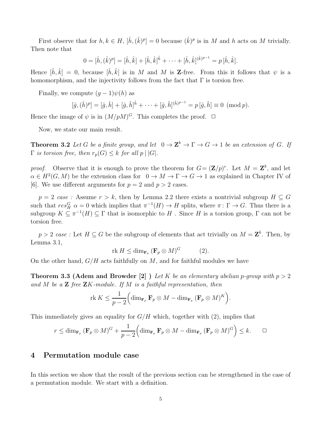First observe that for  $h, k \in H$ ,  $[\hat{h}, (\hat{k})^p] = 0$  because  $(\hat{k})^p$  is in M and h acts on M trivially. Then note that

$$
0 = [\hat{h}, (\hat{k})^p] = [\hat{h}, \hat{k}] + [\hat{h}, \hat{k}]^{\hat{k}} + \cdots + [\hat{h}, \hat{k}]^{(\hat{k})^{p-1}} = p [\hat{h}, \hat{k}].
$$

Hence  $[\hat{h}, \hat{k}] = 0$ , because  $[\hat{h}, \hat{k}]$  is in M and M is **Z**-free. From this it follows that  $\psi$  is a homomorphism, and the injectivity follows from the fact that  $\Gamma$  is torsion free.

Finally, we compute  $(g-1)\psi(h)$  as

$$
[\hat{g},(\hat{h})^p] = [\hat{g},\hat{h}] + [\hat{g},\hat{h}]^{\hat{h}} + \cdots + [\hat{g},\hat{h}]^{(\hat{h})^{p-1}} = p [\hat{g},\hat{h}] \equiv 0 \pmod{p}.
$$

Hence the image of  $\psi$  is in  $(M/pM)^G$ . This completes the proof.  $\Box$ 

Now, we state our main result.

**Theorem 3.2** Let G be a finite group, and let  $0 \to \mathbb{Z}^k \to \Gamma \to G \to 1$  be an extension of G. If  $\Gamma$  is torsion free, then  $r_p(G) \leq k$  for all  $p \mid |G|$ .

*proof.* Observe that it is enough to prove the theorem for  $G = (\mathbf{Z}/p)^r$ . Let  $M = \mathbf{Z}^k$ , and let  $\alpha \in H^2(G, M)$  be the extension class for  $0 \to M \to \Gamma \to G \to 1$  as explained in Chapter IV of [6]. We use different arguments for  $p = 2$  and  $p > 2$  cases.

 $p = 2 \, \csc \, \csc$  : Assume  $r > k$ , then by Lemma 2.2 there exists a nontrivial subgroup  $H \subset G$ such that  $res_H^G$   $\alpha = 0$  which implies that  $\pi^{-1}(H) \to H$  splits, where  $\pi: \Gamma \to G$ . Thus there is a subgroup  $K \subseteq \pi^{-1}(H) \subseteq \Gamma$  that is isomorphic to H . Since H is a torsion group,  $\Gamma$  can not be torsion free.

 $p > 2$  case: Let  $H \subseteq G$  be the subgroup of elements that act trivially on  $M = \mathbf{Z}^k$ . Then, by Lemma 3.1,

$$
\text{rk } H \le \dim_{\mathbf{F}_p} (\mathbf{F}_p \otimes M)^G \tag{2}.
$$

On the other hand,  $G/H$  acts faithfully on  $M$ , and for faithful modules we have

**Theorem 3.3 (Adem and Browder [2])** Let K be an elementary abelian p-group with  $p > 2$ and M be a  $Z$  free  $ZK$ -module. If M is a faithful representation, then

$$
\operatorname{rk} K \leq \frac{1}{p-2} \Big( \dim_{\mathbf{F}_p} \mathbf{F}_p \otimes M - \dim_{\mathbf{F}_p} (\mathbf{F}_p \otimes M)^K \Big).
$$

This immediately gives an equality for  $G/H$  which, together with (2), implies that

$$
r \le \dim_{\mathbf{F}_p} (\mathbf{F}_p \otimes M)^G + \frac{1}{p-2} \Big( \dim_{\mathbf{F}_p} \mathbf{F}_p \otimes M - \dim_{\mathbf{F}_p} (\mathbf{F}_p \otimes M)^G \Big) \le k. \qquad \Box
$$

## 4 Permutation module case

In this section we show that the result of the previous section can be strengthened in the case of a permutation module. We start with a definition.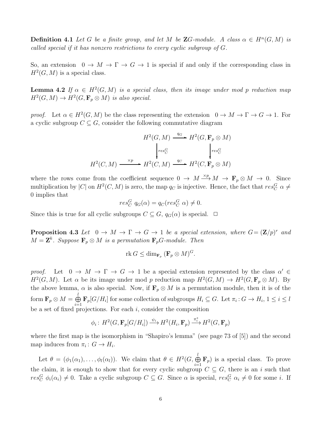**Definition 4.1** Let G be a finite group, and let M be  $\mathbb{Z}G$ -module. A class  $\alpha \in H^n(G, M)$  is called special if it has nonzero restrictions to every cyclic subgroup of G.

So, an extension  $0 \to M \to \Gamma \to G \to 1$  is special if and only if the corresponding class in  $H^2(G, M)$  is a special class.

**Lemma 4.2** If  $\alpha \in H^2(G,M)$  is a special class, then its image under mod p reduction map  $H^2(G, M) \to H^2(G, \mathbf{F}_p \otimes M)$  is also special.

proof. Let  $\alpha \in H^2(G,M)$  be the class representing the extension  $0 \to M \to \Gamma \to G \to 1$ . For a cyclic subgroup  $C \subseteq G$ , consider the following commutative diagram

$$
H^2(G, M) \xrightarrow{q_G} H^2(G, \mathbf{F}_p \otimes M)
$$

$$
\downarrow_{res_C^G} \qquad \qquad \downarrow_{res_C^G}
$$

$$
H^2(C, M) \xrightarrow{\times p} H^2(C, M) \xrightarrow{q_C} H^2(C, \mathbf{F}_p \otimes M)
$$

where the rows come from the coefficient sequence  $0 \to M \xrightarrow{\times p} M \to \mathbf{F}_p \otimes M \to 0$ . Since multiplication by |C| on  $H^2(C, M)$  is zero, the map  $q_C$  is injective. Hence, the fact that  $res_C^G \alpha \neq$ 0 implies that

$$
res_C^G q_G(\alpha) = q_C(res_C^G \alpha) \neq 0.
$$

Since this is true for all cyclic subgroups  $C \subseteq G$ ,  $q_G(\alpha)$  is special.  $\Box$ 

**Proposition 4.3** Let  $0 \to M \to \Gamma \to G \to 1$  be a special extension, where  $G = (\mathbf{Z}/p)^r$  and  $M = \mathbf{Z}^k$ . Suppose  $\mathbf{F}_p \otimes M$  is a permutation  $\mathbf{F}_p$ G-module. Then

$$
\text{rk } G \le \dim_{\mathbf{F}_p} (\mathbf{F}_p \otimes M)^G.
$$

proof. Let  $0 \to M \to \Gamma \to G \to 1$  be a special extension represented by the class  $\alpha' \in$  $H^2(G,M)$ . Let  $\alpha$  be its image under mod p reduction map  $H^2(G,M) \to H^2(G,\mathbf{F}_p \otimes M)$ . By the above lemma,  $\alpha$  is also special. Now, if  $\mathbf{F}_p \otimes M$  is a permutation module, then it is of the form  $\mathbf{F}_p\otimes M=\overset{l}{\oplus}$  $\bigoplus_{i=1} \mathbf{F}_p[G/H_i]$  for some collection of subgroups  $H_i \subseteq G$ . Let  $\pi_i: G \to H_i$ ,  $1 \leq i \leq l$ be a set of fixed projections. For each  $i$ , consider the composition

$$
\phi_i:\,H^2(G,\mathbf{F}_p[G/H_i])\stackrel{\psi_i}{\longrightarrow} H^2(H_i,\mathbf{F}_p)\stackrel{\pi_i^*}{\longrightarrow} H^2(G,\mathbf{F}_p)
$$

where the first map is the isomorphism in "Shapiro's lemma" (see page 73 of [5]) and the second map induces from  $\pi_i: G \to H_i$ .

Let  $\theta = (\phi_1(\alpha_1), \ldots, \phi_l(\alpha_l))$ . We claim that  $\theta \in H^2(G, \bigoplus^l$  $\bigoplus_{i=1}^{\infty} \mathbf{F}_p$  is a special class. To prove the claim, it is enough to show that for every cyclic subgroup  $C \subseteq G$ , there is an i such that  $res_C^G \phi_i(\alpha_i) \neq 0$ . Take a cyclic subgroup  $C \subseteq G$ . Since  $\alpha$  is special,  $res_C^G \alpha_i \neq 0$  for some *i*. If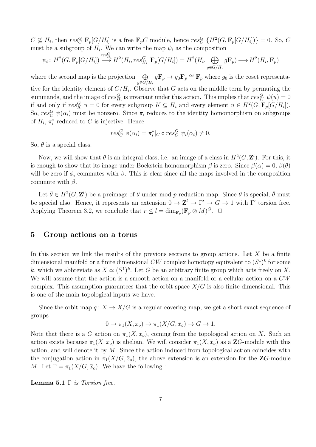$C \nsubseteq H_i$ , then  $res_C^G$   $\mathbf{F}_p[G/H_i]$  is a free  $\mathbf{F}_p C$  module, hence  $res_C^G$   $\{H^2(G, \mathbf{F}_p[G/H_i])\} = 0$ . So, C must be a subgroup of  $H_i$ . We can write the map  $\psi_i$  as the composition

$$
\psi_i: H^2(G, \mathbf{F}_p[G/H_i]) \stackrel{res_{H_i}^G}{\longrightarrow} H^2(H_i, res_{H_i}^G \mathbf{F}_p[G/H_i]) = H^2(H_i, \bigoplus_{g \in G/H_i} g\mathbf{F}_p) \longrightarrow H^2(H_i, \mathbf{F}_p)
$$

where the second map is the projection  $\oplus$  $g \in G/H_i$  $g\mathbf{F}_p \to g_0\mathbf{F}_p \cong \mathbf{F}_p$  where  $g_0$  is the coset representative for the identity element of  $G/H_i$ . Observe that G acts on the middle term by permuting the summands, and the image of  $res_{H_i}^G$  is invariant under this action. This implies that  $res_K^G$   $\psi(u) = 0$ if and only if  $res_K^G u = 0$  for every subgroup  $K \subseteq H_i$  and every element  $u \in H^2(G, \mathbf{F}_p[G/H_i]).$ So,  $res_C^G$   $\psi(\alpha_i)$  must be nonzero. Since  $\pi_i$  reduces to the identity homomorphism on subgroups of  $H_i$ ,  $\pi_i^*$  $i$ <sup>\*</sup> reduced to C is injective. Hence

$$
res_C^G \phi(\alpha_i) = \pi_i^*|_C \circ res_C^G \psi_i(\alpha_i) \neq 0.
$$

So,  $\theta$  is a special class.

Now, we will show that  $\theta$  is an integral class, i.e. an image of a class in  $H^2(G, \mathbf{Z}^l)$ . For this, it is enough to show that its image under Bockstein homomorphism  $\beta$  is zero. Since  $\beta(\alpha) = 0$ ,  $\beta(\theta)$ will be zero if  $\phi_i$  commutes with  $\beta$ . This is clear since all the maps involved in the composition commute with  $\beta$ .

Let  $\bar{\theta} \in H^2(G, \mathbf{Z}^l)$  be a preimage of  $\theta$  under mod p reduction map. Since  $\theta$  is special,  $\bar{\theta}$  must be special also. Hence, it represents an extension  $0 \to \mathbb{Z}^l \to \Gamma' \to G \to 1$  with  $\Gamma'$  torsion free. Applying Theorem 3.2, we conclude that  $r \leq l = \dim_{\mathbf{F}_p} (\mathbf{F}_p \otimes M)^G$ .  $\Box$ 

#### 5 Group actions on a torus

In this section we link the results of the previous sections to group actions. Let  $X$  be a finite dimensional manifold or a finite dimensional CW complex homotopy equivalent to  $(S^1)^k$  for some k, which we abbreviate as  $X \simeq (S^1)^k$ . Let G be an arbitrary finite group which acts freely on X. We will assume that the action is a smooth action on a manifold or a cellular action on a  $CW$ complex. This assumption guarantees that the orbit space  $X/G$  is also finite-dimensional. This is one of the main topological inputs we have.

Since the orbit map  $q: X \to X/G$  is a regular covering map, we get a short exact sequence of groups

$$
0 \to \pi_1(X, x_o) \to \pi_1(X/G, \bar{x}_o) \to G \to 1.
$$

Note that there is a G action on  $\pi_1(X, x_o)$ , coming from the topological action on X. Such an action exists because  $\pi_1(X, x_o)$  is abelian. We will consider  $\pi_1(X, x_o)$  as a **Z**G-module with this action, and will denote it by  $M$ . Since the action induced from topological action coincides with the conjugation action in  $\pi_1(X/G, \bar{x}_o)$ , the above extension is an extension for the **Z**G-module M. Let  $\Gamma = \pi_1(X/G, \bar{x}_o)$ . We have the following :

**Lemma 5.1**  $\Gamma$  is Torsion free.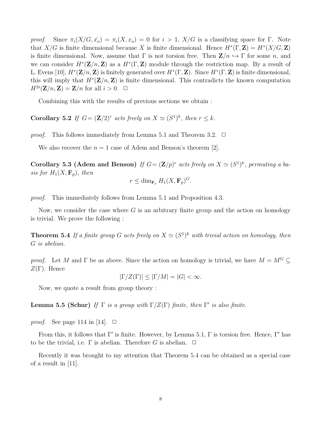proof. Since  $\pi_i(X/G, \bar{x_o}) = \pi_i(X, x_o) = 0$  for  $i > 1$ ,  $X/G$  is a classifying space for Γ. Note that  $X/G$  is finite dimensional because X is finite dimensional. Hence  $H^*(\Gamma, \mathbf{Z}) = H^*(X/G, \mathbf{Z})$ is finite dimensional. Now, assume that  $\Gamma$  is not torsion free. Then  $\mathbb{Z}/n \hookrightarrow \Gamma$  for some n, and we can consider  $H^*(\mathbf{Z}/n, \mathbf{Z})$  as a  $H^*(\Gamma, \mathbf{Z})$  module through the restriction map. By a result of L. Evens [10],  $H^*(\mathbf{Z}/n, \mathbf{Z})$  is finitely generated over  $H^*(\Gamma, \mathbf{Z})$ . Since  $H^*(\Gamma, \mathbf{Z})$  is finite dimensional, this will imply that  $H^*(\mathbf{Z}/n, \mathbf{Z})$  is finite dimensional. This contradicts the known computation  $H^{2i}(\mathbf{Z}/n, \mathbf{Z}) = \mathbf{Z}/n$  for all  $i > 0$ .  $\Box$ 

Combining this with the results of previous sections we obtain :

**Corollary 5.2** If  $G = (\mathbf{Z}/2)^r$  acts freely on  $X \simeq (S^1)^k$ , then  $r \leq k$ .

*proof.* This follows immediately from Lemma 5.1 and Theorem 3.2.  $\Box$ 

We also recover the  $n = 1$  case of Adem and Benson's theorem [2].

Corollary 5.3 (Adem and Benson) If  $G = (\mathbf{Z}/p)^r$  acts freely on  $X \simeq (S^1)^k$ , permuting a basis for  $H_1(X, \mathbf{F}_p)$ , then

$$
r \leq \dim_{\mathbf{F}_p} H_1(X, \mathbf{F}_p)^G.
$$

proof. This immediately follows from Lemma 5.1 and Proposition 4.3.

Now, we consider the case where  $G$  is an arbitrary finite group and the action on homology is trivial. We prove the following :

**Theorem 5.4** If a finite group G acts freely on  $X \simeq (S^1)^k$  with trivial action on homology, then G is abelian.

*proof.* Let M and  $\Gamma$  be as above. Since the action on homology is trivial, we have  $M = M^G \subseteq$ Z(Γ). Hence

$$
|\Gamma/Z(\Gamma)| \le |\Gamma/M| = |G| < \infty.
$$

Now, we quote a result from group theory :

**Lemma 5.5 (Schur)** If  $\Gamma$  is a group with  $\Gamma/Z(\Gamma)$  finite, then  $\Gamma'$  is also finite.

*proof.* See page 114 in [14].  $\Box$ 

From this, it follows that  $\Gamma'$  is finite. However, by Lemma 5.1,  $\Gamma$  is torsion free. Hence,  $\Gamma'$  has to be the trivial, i.e.  $\Gamma$  is abelian. Therefore G is abelian.  $\Box$ 

Recently it was brought to my attention that Theorem 5.4 can be obtained as a special case of a result in [11].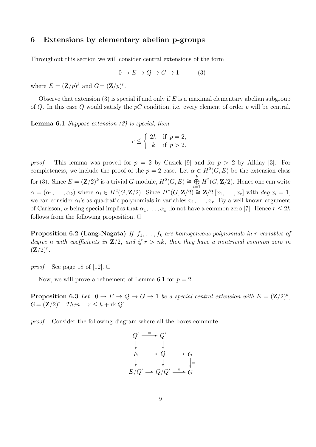### 6 Extensions by elementary abelian p-groups

Throughout this section we will consider central extensions of the form

$$
0 \to E \to Q \to G \to 1 \tag{3}
$$

where  $E = (\mathbf{Z}/p)^k$  and  $G = (\mathbf{Z}/p)^r$ .

Observe that extension (3) is special if and only if  $E$  is a maximal elementary abelian subgroup of Q. In this case Q would satisfy the  $pC$  condition, i.e. every element of order p will be central.

**Lemma 6.1** Suppose extension  $(3)$  is special, then

$$
r \le \begin{cases} 2k & \text{if } p = 2, \\ k & \text{if } p > 2. \end{cases}
$$

proof. This lemma was proved for  $p = 2$  by Cusick [9] and for  $p > 2$  by Allday [3]. For completeness, we include the proof of the  $p = 2$  case. Let  $\alpha \in H^2(G, E)$  be the extension class for (3). Since  $E = (\mathbf{Z}/2)^k$  is a trivial G-module,  $H^2(G, E) \cong \bigoplus^k$  $\bigoplus_{i=1}^{\infty} H^2(G, \mathbf{Z}/2)$ . Hence one can write  $\alpha = (\alpha_1, \ldots, \alpha_k)$  where  $\alpha_i \in H^2(G, \mathbf{Z}/2)$ . Since  $H^*(G, \mathbf{Z}/2) \cong \mathbf{Z}/2 [x_1, \ldots, x_r]$  with  $\deg x_i = 1$ , we can consider  $\alpha_i$ 's as quadratic polynomials in variables  $x_1, \ldots, x_r$ . By a well known argument of Carlsson,  $\alpha$  being special implies that  $\alpha_1, \ldots, \alpha_k$  do not have a common zero [7]. Hence  $r \leq 2k$ follows from the following proposition.  $\Box$ 

**Proposition 6.2 (Lang-Nagata)** If  $f_1, \ldots, f_k$  are homogeneous polynomials in r variables of degree n with coefficients in  $\mathbb{Z}/2$ , and if  $r > nk$ , then they have a nontrivial common zero in  $(\mathbf{Z}/2)^r$ .

*proof.* See page 18 of [12].  $\Box$ 

Now, we will prove a refinement of Lemma 6.1 for  $p = 2$ .

**Proposition 6.3** Let  $0 \to E \to Q \to G \to 1$  be a special central extension with  $E = (\mathbf{Z}/2)^k$ ,  $G = (\mathbf{Z}/2)^r$ . Then  $r \leq k + \text{rk } Q'$ .

proof. Consider the following diagram where all the boxes commute.

$$
Q' \xrightarrow{\equiv} Q'
$$
  
\n
$$
E \longrightarrow Q \longrightarrow G
$$
  
\n
$$
\downarrow \qquad \qquad \downarrow \qquad \qquad G
$$
  
\n
$$
E/Q' \longrightarrow Q/Q' \xrightarrow{\pi} G
$$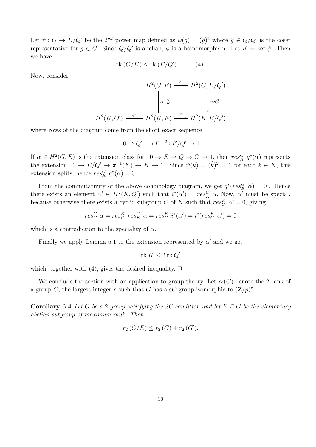Let  $\psi: G \to E/Q'$  be the  $2^{nd}$  power map defined as  $\psi(g) = (\hat{g})^2$  where  $\hat{g} \in Q/Q'$  is the coset representative for  $g \in G$ . Since  $Q/Q'$  is abelian,  $\phi$  is a homomorphism. Let  $K = \text{ker } \psi$ . Then we have

$$
rk(G/K) \leq rk(E/Q') \tag{4}.
$$

Now, consider

$$
H^2(G, E) \xrightarrow{q^*} H^2(G, E/Q')
$$

$$
\downarrow_{res_K^G} \qquad \qquad \downarrow_{res_K^G}
$$

$$
H^2(K, Q') \xrightarrow{i^*} H^2(K, E) \xrightarrow{q^*} H^2(K, E/Q')
$$

∗

where rows of the diagram come from the short exact sequence

$$
0 \to Q' \longrightarrow E \stackrel{q}{\longrightarrow} E/Q' \to 1.
$$

If  $\alpha \in H^2(G, E)$  is the extension class for  $0 \to E \to Q \to G \to 1$ , then  $res_K^G q^*(\alpha)$  represents the extension  $0 \to E/Q' \to \pi^{-1}(K) \to K \to 1$ . Since  $\psi(k) = (\hat{k})^2 = 1$  for each  $k \in K$ , this extension splits, hence  $res_K^G q^*(\alpha) = 0$ .

From the commutativity of the above cohomology diagram, we get  $q^*(res_K^G \alpha) = 0$ . Hence there exists an element  $\alpha' \in H^2(K, Q')$  such that  $i^*(\alpha') = res_K^G \alpha$ . Now,  $\alpha'$  must be special, because otherwise there exists a cyclic subgroup C of K such that  $res_C^K \alpha' = 0$ , giving

$$
res_C^G \alpha = res_C^K \ res_K^G \alpha = res_C^K \ i^*(\alpha') = i^*(res_C^K \ \alpha') = 0
$$

which is a contradiction to the speciality of  $\alpha$ .

Finally we apply Lemma 6.1 to the extension represented by  $\alpha'$  and we get

$$
{\rm rk}\: K\leq 2\,{\rm rk}\: Q'
$$

which, together with  $(4)$ , gives the desired inequality.  $\Box$ 

We conclude the section with an application to group theory. Let  $r_2(G)$  denote the 2-rank of a group G, the largest integer r such that G has a subgroup isomorphic to  $(\mathbf{Z}/p)^r$ .

Corollary 6.4 Let G be a 2-group satisfying the 2C condition and let  $E \subseteq G$  be the elementary abelian subgroup of maximum rank. Then

$$
r_2(G/E) \le r_2(G) + r_2(G').
$$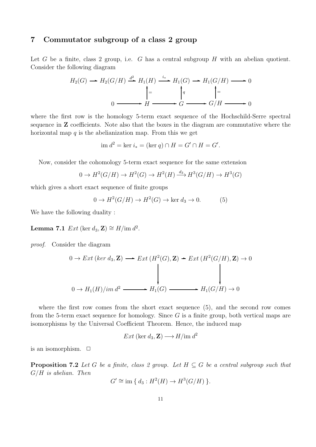# 7 Commutator subgroup of a class 2 group

Let G be a finite, class 2 group, i.e. G has a central subgroup  $H$  with an abelian quotient. Consider the following diagram

$$
H_2(G) \longrightarrow H_2(G/H) \stackrel{d^2}{\longrightarrow} H_1(H) \stackrel{i_*}{\longrightarrow} H_1(G) \longrightarrow H_1(G/H) \longrightarrow 0
$$
  
\n
$$
\downarrow = \qquad \qquad \downarrow q \qquad \qquad \downarrow =
$$
  
\n
$$
0 \longrightarrow H \longrightarrow G \longrightarrow G/H \longrightarrow 0
$$

where the first row is the homology 5-term exact sequence of the Hochschild-Serre spectral sequence in Z coefficients. Note also that the boxes in the diagram are commutative where the horizontal map  $q$  is the abelianization map. From this we get

$$
\text{im } d^2 = \text{ker } i_* = (\text{ker } q) \cap H = G' \cap H = G'.
$$

Now, consider the cohomology 5-term exact sequence for the same extension

$$
0 \to H^2(G/H) \to H^2(G) \to H^2(H) \xrightarrow{d_3} H^3(G/H) \to H^3(G)
$$

which gives a short exact sequence of finite groups

$$
0 \to H^2(G/H) \to H^2(G) \to \ker d_3 \to 0. \tag{5}
$$

We have the following duality :

Lemma 7.1  $Ext$  (ker  $d_3$ , Z)  $\cong$   $H/\text{im } d^2$ .

proof. Consider the diagram

$$
0 \to Ext\left(\ker d_3, \mathbf{Z}\right) \longrightarrow Ext\left(H^2(G), \mathbf{Z}\right) \to Ext\left(H^2(G/H), \mathbf{Z}\right) \to 0
$$
\n
$$
\downarrow \qquad \qquad \downarrow
$$
\n
$$
0 \to H_1(H)/im\,d^2 \longrightarrow H_1(G) \longrightarrow H_1(G/H) \to 0
$$

where the first row comes from the short exact sequence  $(5)$ , and the second row comes from the 5-term exact sequence for homology. Since  $G$  is a finite group, both vertical maps are isomorphisms by the Universal Coefficient Theorem. Hence, the induced map

$$
Ext\ (\ker d_3, \mathbf{Z}) \longrightarrow H/\text{im } d^2
$$

is an isomorphism.  $\Box$ 

**Proposition 7.2** Let G be a finite, class 2 group. Let  $H \subseteq G$  be a central subgroup such that  $G/H$  is abelian. Then

$$
G' \cong \text{im} \{ d_3 : H^2(H) \to H^3(G/H) \}.
$$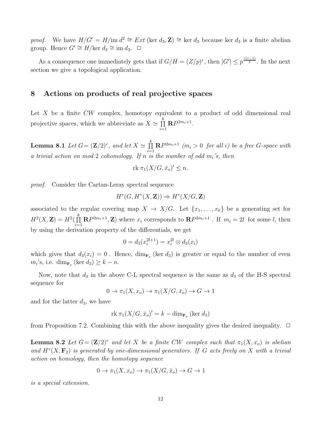proof. We have  $H/G' = H/\text{im } d^2 \cong Ext \text{ (ker } d_3, \mathbf{Z}) \cong \text{ker } d_3$  because ker  $d_3$  is a finite abelian group. Hence  $G' \cong H/\text{ker } d_3 \cong \text{im } d_3$ .  $\Box$ 

As a consequence one immediately gets that if  $G/H = (Z/p)^r$ , then  $|G'| \leq p^{\frac{r(r-1)}{2}}$ . In the next section we give a topological application.

#### 8 Actions on products of real projective spaces

Let X be a finite  $CW$  complex, homotopy equivalent to a product of odd dimensional real projective spaces, which we abbreviate as  $X \simeq \prod^k$  $\prod_{i=1}^{\infty} \mathbf{R} P^{2m_i+1}.$ 

**Lemma 8.1** Let  $G = (\mathbf{Z}/2)^r$ , and let  $X \simeq \prod^k$  $\prod_{i=1}^{n} \mathbf{R} P^{2m_i+1}$  (m<sub>i</sub> > 0 for all i) be a free G-space with a trivial action on mod 2 cohomology. If n is the number of odd  $m_i$ 's, then

$$
\text{rk }\pi_1(X/G,\bar{x}_o)' \leq n.
$$

proof. Consider the Cartan-Leray spectral sequence

$$
H^*(G, H^*(X, \mathbf{Z})) \Rightarrow H^*(X/G, \mathbf{Z})
$$

associated to the regular covering map  $X \to X/G$ . Let  $\{x_1, \ldots, x_k\}$  be a generating set for  $H^2(X,\mathbf{Z})=H^2(\prod^k$  $\prod_{i=1}^{n} \mathbf{R} P^{2m_i+1}$ , **Z**) where  $x_i$  corresponds to  $\mathbf{R} P^{2m_i+1}$ . If  $m_i = 2l$  for some l, then by using the derivation property of the differentials, we get

$$
0 = d_3(x_i^{2l+1}) = x_i^{2l} \otimes d_3(x_i)
$$

which gives that  $d_3(x_i) = 0$ . Hence,  $\dim_{\mathbf{F}_p}(\ker d_3)$  is greater or equal to the number of even  $m_i$ 's, i.e.  $\dim_{\mathbf{F}_p}(\ker d_3) \geq k - n$ .

Now, note that  $d_3$  in the above C-L spectral sequence is the same as  $d_3$  of the H-S spectral sequence for

$$
0 \to \pi_1(X, x_o) \to \pi_1(X/G, \bar{x}_o) \to G \to 1
$$

and for the latter  $d_3$ , we have

$$
rk \pi_1(X/G, \bar{x}_o)' = k - \dim_{\mathbf{F}_p}(\ker d_3)
$$

from Proposition 7.2. Combining this with the above inequality gives the desired inequality.  $\Box$ 

**Lemma 8.2** Let  $G = (\mathbf{Z}/2)^r$  and let X be a finite CW complex such that  $\pi_1(X, x_o)$  is abelian and  $H^*(X, \mathbf{F}_2)$  is generated by one-dimensional generators. If G acts freely on X with a trivial action on homology, then the homotopy sequence

$$
0 \to \pi_1(X, x_o) \to \pi_1(X/G, \bar{x}_o) \to G \to 1
$$

is a special extension.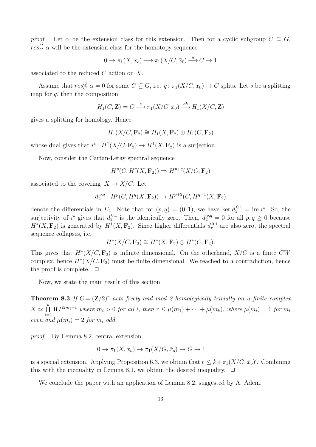proof. Let  $\alpha$  be the extension class for this extension. Then for a cyclic subgroup  $C \subseteq G$ ,  $res_C^G$   $\alpha$  will be the extension class for the homotopy sequence

$$
0 \to \pi_1(X, x_o) \longrightarrow \pi_1(X/C, \bar{x}_0) \stackrel{q}{\longrightarrow} C \to 1
$$

associated to the reduced C action on X.

Assume that  $res_C^G$   $\alpha = 0$  for some  $C \subseteq G$ , i.e.  $q : \pi_1(X/C, \bar{x}_0) \to C$  splits. Let s be a splitting map for  $q$ , then the composition

$$
H_1(C, \mathbf{Z}) = C \xrightarrow{s} \pi_1(X/C, \bar{x}_0) \xrightarrow{ab} H_1(X/C, \mathbf{Z})
$$

gives a splitting for homology. Hence

$$
H_1(X/C, \mathbf{F}_2) \cong H_1(X, \mathbf{F}_2) \oplus H_1(C, \mathbf{F}_2)
$$

whose dual gives that  $i^*: H^1(X/C, \mathbf{F}_2) \to H^1(X, \mathbf{F}_2)$  is a surjection.

Now, consider the Cartan-Leray spectral sequence

$$
H^p(C, H^q(X, \mathbf{F}_2)) \Rightarrow H^{p+q}(X/C, \mathbf{F}_2)
$$

associated to the covering  $X \to X/C$ . Let

$$
d_2^{p,q} \colon H^p(C, H^q(X, \mathbf{F}_2)) \to H^{p+2}(C, H^{q-1}(X, \mathbf{F}_2))
$$

denote the differentials in  $E_2$ . Note that for  $(p,q) = (0,1)$ , we have ker  $d_2^{0,1} = \text{im } i^*$ . So, the surjectivity of  $i^*$  gives that  $d_2^{0,1}$  $_2^{0,1}$  is the identically zero. Then,  $d_2^{p,q} = 0$  for all  $p, q \ge 0$  because  $H^*(X, \mathbf{F}_2)$  is generated by  $H^1(X, \mathbf{F}_2)$ . Since higher differentials  $d_r^{0,1}$  are also zero, the spectral sequence collapses, i.e.

$$
H^*(X/C, \mathbf{F}_2) \cong H^*(X, \mathbf{F}_2) \otimes H^*(C, \mathbf{F}_2).
$$

This gives that  $H^*(X/C, \mathbf{F}_2)$  is infinite dimensional. On the otherhand,  $X/C$  is a finite CW complex, hence  $H^*(X/C, \mathbf{F}_2)$  must be finite dimensional. We reached to a contradiction, hence the proof is complete.  $\Box$ 

Now, we state the main result of this section.

**Theorem 8.3** If  $G = (\mathbf{Z}/2)^r$  acts freely and mod 2 homologically trivially on a finite complex  $X \simeq \prod^k$  $\prod_{i=1}^{n} \mathbf{R} P^{2m_i+1}$  where  $m_i > 0$  for all i, then  $r \leq \mu(m_1) + \cdots + \mu(m_k)$ , where  $\mu(m_i) = 1$  for  $m_i$ even and  $\mu(m_i) = 2$  for  $m_i$  odd.

proof. By Lemma 8.2, central extension

$$
0 \to \pi_1(X, x_o) \to \pi_1(X/G, \bar{x}_o) \to G \to 1
$$

is a special extension. Applying Proposition 6.3, we obtain that  $r \leq k + \pi_1(X/G, \bar{x}_o)'$ . Combining this with the inequality in Lemma 8.1, we obtain the desired inequality.  $\Box$ 

We conclude the paper with an application of Lemma 8.2, suggested by A. Adem.